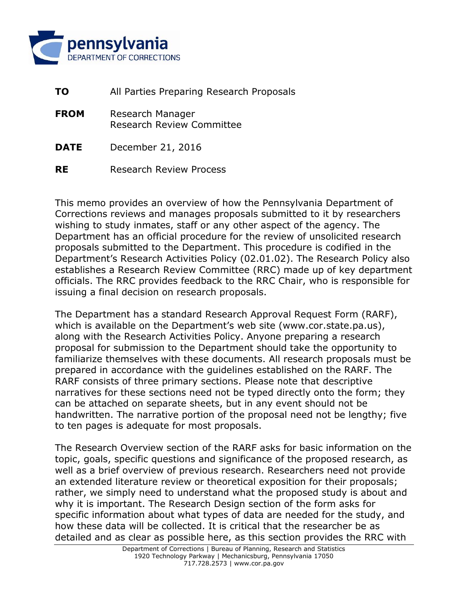

| <b>TO</b>   | All Parties Preparing Research Proposals      |
|-------------|-----------------------------------------------|
| <b>FROM</b> | Research Manager<br>Research Review Committee |
| <b>DATE</b> | December 21, 2016                             |
| <b>RE</b>   | <b>Research Review Process</b>                |

This memo provides an overview of how the Pennsylvania Department of Corrections reviews and manages proposals submitted to it by researchers wishing to study inmates, staff or any other aspect of the agency. The Department has an official procedure for the review of unsolicited research proposals submitted to the Department. This procedure is codified in the Department's Research Activities Policy (02.01.02). The Research Policy also establishes a Research Review Committee (RRC) made up of key department officials. The RRC provides feedback to the RRC Chair, who is responsible for issuing a final decision on research proposals.

The Department has a standard Research Approval Request Form (RARF), which is available on the Department's web site (www.cor.state.pa.us), along with the Research Activities Policy. Anyone preparing a research proposal for submission to the Department should take the opportunity to familiarize themselves with these documents. All research proposals must be prepared in accordance with the guidelines established on the RARF. The RARF consists of three primary sections. Please note that descriptive narratives for these sections need not be typed directly onto the form; they can be attached on separate sheets, but in any event should not be handwritten. The narrative portion of the proposal need not be lengthy; five to ten pages is adequate for most proposals.

The Research Overview section of the RARF asks for basic information on the topic, goals, specific questions and significance of the proposed research, as well as a brief overview of previous research. Researchers need not provide an extended literature review or theoretical exposition for their proposals; rather, we simply need to understand what the proposed study is about and why it is important. The Research Design section of the form asks for specific information about what types of data are needed for the study, and how these data will be collected. It is critical that the researcher be as detailed and as clear as possible here, as this section provides the RRC with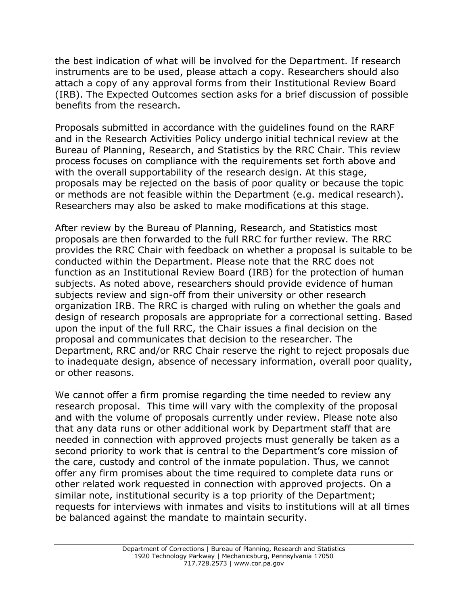the best indication of what will be involved for the Department. If research instruments are to be used, please attach a copy. Researchers should also attach a copy of any approval forms from their Institutional Review Board (IRB). The Expected Outcomes section asks for a brief discussion of possible benefits from the research.

Proposals submitted in accordance with the guidelines found on the RARF and in the Research Activities Policy undergo initial technical review at the Bureau of Planning, Research, and Statistics by the RRC Chair. This review process focuses on compliance with the requirements set forth above and with the overall supportability of the research design. At this stage, proposals may be rejected on the basis of poor quality or because the topic or methods are not feasible within the Department (e.g. medical research). Researchers may also be asked to make modifications at this stage.

After review by the Bureau of Planning, Research, and Statistics most proposals are then forwarded to the full RRC for further review. The RRC provides the RRC Chair with feedback on whether a proposal is suitable to be conducted within the Department. Please note that the RRC does not function as an Institutional Review Board (IRB) for the protection of human subjects. As noted above, researchers should provide evidence of human subjects review and sign-off from their university or other research organization IRB. The RRC is charged with ruling on whether the goals and design of research proposals are appropriate for a correctional setting. Based upon the input of the full RRC, the Chair issues a final decision on the proposal and communicates that decision to the researcher. The Department, RRC and/or RRC Chair reserve the right to reject proposals due to inadequate design, absence of necessary information, overall poor quality, or other reasons.

We cannot offer a firm promise regarding the time needed to review any research proposal. This time will vary with the complexity of the proposal and with the volume of proposals currently under review. Please note also that any data runs or other additional work by Department staff that are needed in connection with approved projects must generally be taken as a second priority to work that is central to the Department's core mission of the care, custody and control of the inmate population. Thus, we cannot offer any firm promises about the time required to complete data runs or other related work requested in connection with approved projects. On a similar note, institutional security is a top priority of the Department; requests for interviews with inmates and visits to institutions will at all times be balanced against the mandate to maintain security.